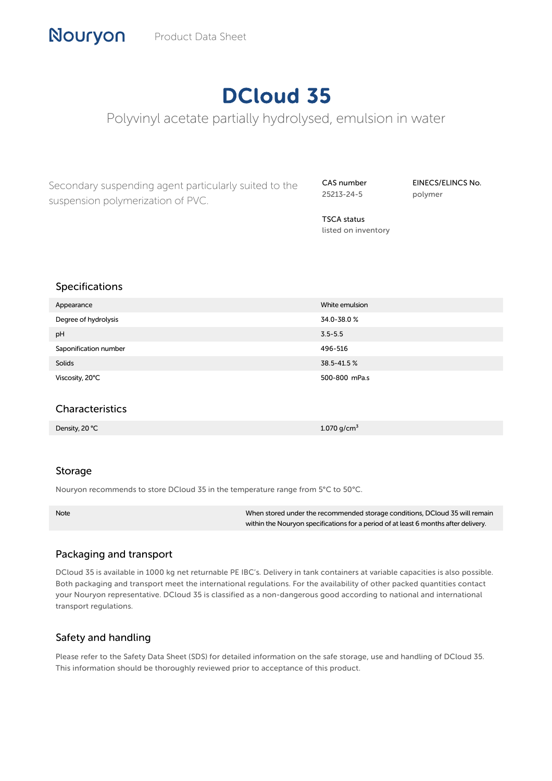# DCloud 35

Polyvinyl acetate partially hydrolysed, emulsion in water

Secondary suspending agent particularly suited to the suspension polymerization of PVC.

CAS number 25213-24-5

EINECS/ELINCS No. polymer

TSCA status listed on inventory

## Specifications

| Appearance            | White emulsion |
|-----------------------|----------------|
| Degree of hydrolysis  | 34.0-38.0%     |
| pH                    | $3.5 - 5.5$    |
| Saponification number | 496-516        |
| Solids                | 38.5-41.5%     |
| Viscosity, 20°C       | 500-800 mPa.s  |

## Characteristics

Density, 20 ℃ 1.070 g/cm³

#### Storage

Nouryon recommends to store DCloud 35 in the temperature range from 5°C to 50°C.

Note When stored under the recommended storage conditions, DCloud 35 will remain within the Nouryon specifications for a period of at least 6 months after delivery.

#### Packaging and transport

DCloud 35 is available in 1000 kg net returnable PE IBC's. Delivery in tank containers at variable capacities is also possible. Both packaging and transport meet the international regulations. For the availability of other packed quantities contact your Nouryon representative. DCloud 35 is classified as a non-dangerous good according to national and international transport regulations.

# Safety and handling

Please refer to the Safety Data Sheet (SDS) for detailed information on the safe storage, use and handling of DCloud 35. This information should be thoroughly reviewed prior to acceptance of this product.